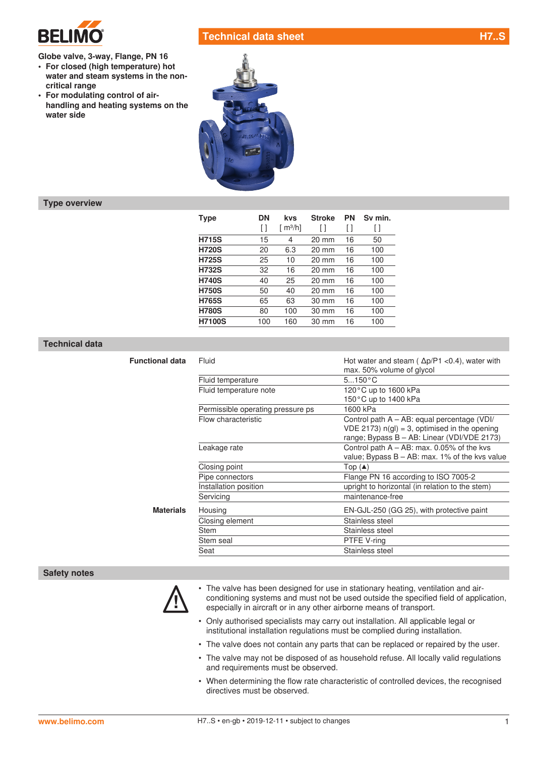

**critical range**

**water side**

**Globe valve, 3-way, Flange, PN 16 • For closed (high temperature) hot water and steam systems in the non-**

**• For modulating control of air-**

**handling and heating systems on the** 

**Technical data sheet H7..SPD** 



## **Type overview**

| Type          | <b>DN</b> | <b>Stroke</b><br>kvs  |                 | <b>PN</b> | Sv min. |  |  |
|---------------|-----------|-----------------------|-----------------|-----------|---------|--|--|
|               | ſΙ        | $\lceil m^3/h \rceil$ | l I             |           | l I     |  |  |
| <b>H715S</b>  | 15        | 4                     | 20 mm           | 16        | 50      |  |  |
| <b>H720S</b>  | 20        | 6.3                   | $20 \text{ mm}$ | 16        | 100     |  |  |
| <b>H725S</b>  | 25        | 10                    | $20 \text{ mm}$ | 16        | 100     |  |  |
| <b>H732S</b>  | 32        | 16                    | $20 \text{ mm}$ | 16        | 100     |  |  |
| <b>H740S</b>  | 40        | 25                    | $20 \text{ mm}$ | 16        | 100     |  |  |
| <b>H750S</b>  | 50        | 40                    | $20 \text{ mm}$ | 16        | 100     |  |  |
| <b>H765S</b>  | 65        | 63                    | $30 \text{ mm}$ | 16        | 100     |  |  |
| <b>H780S</b>  | 80        | 100                   | $30 \text{ mm}$ | 16        | 100     |  |  |
| <b>H7100S</b> | 100       | 160                   | $30 \text{ mm}$ | 16        | 100     |  |  |

## **Technical data**

| <b>Functional data</b> | Fluid                             | Hot water and steam ( $\Delta p/P1$ <0.4), water with<br>max. 50% volume of glycol                                                              |  |  |  |  |  |
|------------------------|-----------------------------------|-------------------------------------------------------------------------------------------------------------------------------------------------|--|--|--|--|--|
|                        | Fluid temperature                 | $5150^{\circ}C$                                                                                                                                 |  |  |  |  |  |
|                        | Fluid temperature note            | 120 $\degree$ C up to 1600 kPa                                                                                                                  |  |  |  |  |  |
|                        |                                   | 150°C up to 1400 kPa                                                                                                                            |  |  |  |  |  |
|                        | Permissible operating pressure ps | 1600 kPa                                                                                                                                        |  |  |  |  |  |
|                        | Flow characteristic               | Control path A - AB: equal percentage (VDI/<br>$VDE$ 2173) $n(q) = 3$ , optimised in the opening<br>range; Bypass B - AB: Linear (VDI/VDE 2173) |  |  |  |  |  |
|                        | Leakage rate                      | Control path $A - AB$ : max. 0.05% of the kvs<br>value; Bypass $B - AB$ : max. 1% of the kys value                                              |  |  |  |  |  |
|                        | Closing point                     | Top $(A)$                                                                                                                                       |  |  |  |  |  |
|                        | Pipe connectors                   | Flange PN 16 according to ISO 7005-2                                                                                                            |  |  |  |  |  |
|                        | Installation position             | upright to horizontal (in relation to the stem)                                                                                                 |  |  |  |  |  |
|                        | Servicing                         | maintenance-free                                                                                                                                |  |  |  |  |  |
| <b>Materials</b>       | Housing                           | EN-GJL-250 (GG 25), with protective paint                                                                                                       |  |  |  |  |  |
|                        | Closing element                   | Stainless steel                                                                                                                                 |  |  |  |  |  |
|                        | Stem                              | Stainless steel                                                                                                                                 |  |  |  |  |  |
|                        | Stem seal                         | PTFE V-ring                                                                                                                                     |  |  |  |  |  |
|                        | Seat                              | Stainless steel                                                                                                                                 |  |  |  |  |  |

#### **Safety notes**



- ! The valve has been designed for use in stationary heating, ventilation and airconditioning systems and must not be used outside the specified field of application, especially in aircraft or in any other airborne means of transport.
- Only authorised specialists may carry out installation. All applicable legal or institutional installation regulations must be complied during installation.
- The valve does not contain any parts that can be replaced or repaired by the user.
- The valve may not be disposed of as household refuse. All locally valid regulations and requirements must be observed.
- When determining the flow rate characteristic of controlled devices, the recognised directives must be observed.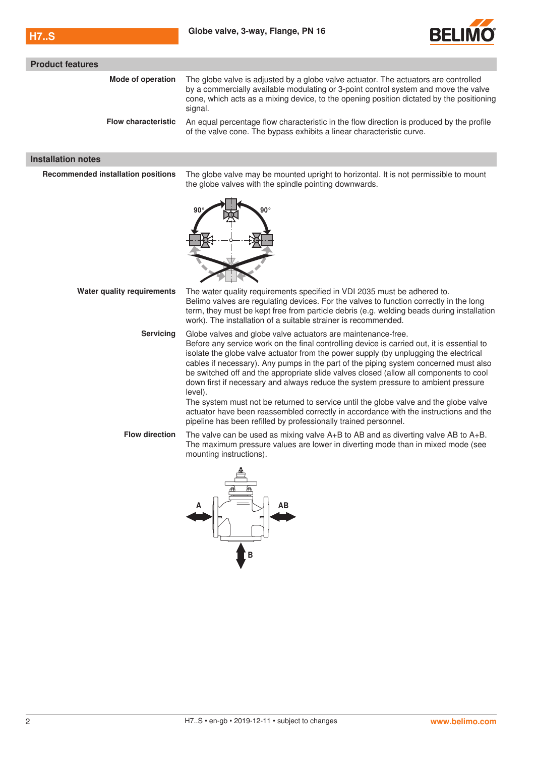

| <b>Product features</b>                   |                                                                                                                                                                                                                                                                                                                                                                                                                                                                                                                                                                                                                                                                                                                                                                                        |
|-------------------------------------------|----------------------------------------------------------------------------------------------------------------------------------------------------------------------------------------------------------------------------------------------------------------------------------------------------------------------------------------------------------------------------------------------------------------------------------------------------------------------------------------------------------------------------------------------------------------------------------------------------------------------------------------------------------------------------------------------------------------------------------------------------------------------------------------|
| Mode of operation                         | The globe valve is adjusted by a globe valve actuator. The actuators are controlled<br>by a commercially available modulating or 3-point control system and move the valve<br>cone, which acts as a mixing device, to the opening position dictated by the positioning<br>signal.                                                                                                                                                                                                                                                                                                                                                                                                                                                                                                      |
| <b>Flow characteristic</b>                | An equal percentage flow characteristic in the flow direction is produced by the profile<br>of the valve cone. The bypass exhibits a linear characteristic curve.                                                                                                                                                                                                                                                                                                                                                                                                                                                                                                                                                                                                                      |
| <b>Installation notes</b>                 |                                                                                                                                                                                                                                                                                                                                                                                                                                                                                                                                                                                                                                                                                                                                                                                        |
| <b>Recommended installation positions</b> | The globe valve may be mounted upright to horizontal. It is not permissible to mount<br>the globe valves with the spindle pointing downwards.<br>90°<br>90                                                                                                                                                                                                                                                                                                                                                                                                                                                                                                                                                                                                                             |
| <b>Water quality requirements</b>         | The water quality requirements specified in VDI 2035 must be adhered to.<br>Belimo valves are regulating devices. For the valves to function correctly in the long<br>term, they must be kept free from particle debris (e.g. welding beads during installation<br>work). The installation of a suitable strainer is recommended.                                                                                                                                                                                                                                                                                                                                                                                                                                                      |
| <b>Servicing</b>                          | Globe valves and globe valve actuators are maintenance-free.<br>Before any service work on the final controlling device is carried out, it is essential to<br>isolate the globe valve actuator from the power supply (by unplugging the electrical<br>cables if necessary). Any pumps in the part of the piping system concerned must also<br>be switched off and the appropriate slide valves closed (allow all components to cool<br>down first if necessary and always reduce the system pressure to ambient pressure<br>level).<br>The system must not be returned to service until the globe valve and the globe valve<br>actuator have been reassembled correctly in accordance with the instructions and the<br>pipeline has been refilled by professionally trained personnel. |
| <b>Flow direction</b>                     | The valve can be used as mixing valve $A+B$ to AB and as diverting valve AB to $A+B$ .<br>The maximum pressure values are lower in diverting mode than in mixed mode (see<br>mounting instructions).                                                                                                                                                                                                                                                                                                                                                                                                                                                                                                                                                                                   |
|                                           |                                                                                                                                                                                                                                                                                                                                                                                                                                                                                                                                                                                                                                                                                                                                                                                        |

 $\overline{\mathbf{t}}$   $\mathbf{B}$